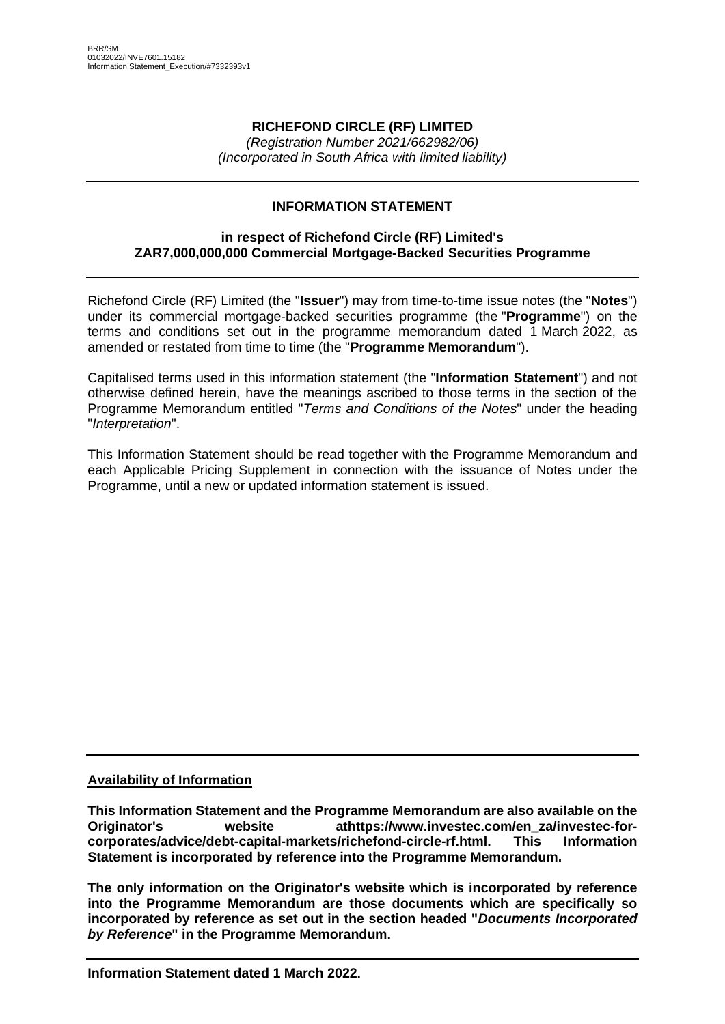# **RICHEFOND CIRCLE (RF) LIMITED**

*(Registration Number 2021/662982/06) (Incorporated in South Africa with limited liability)*

## **INFORMATION STATEMENT**

### **in respect of Richefond Circle (RF) Limited's ZAR7,000,000,000 Commercial Mortgage-Backed Securities Programme**

Richefond Circle (RF) Limited (the "**Issuer**") may from time-to-time issue notes (the "**Notes**") under its commercial mortgage-backed securities programme (the "**Programme**") on the terms and conditions set out in the programme memorandum dated 1 March 2022, as amended or restated from time to time (the "**Programme Memorandum**").

Capitalised terms used in this information statement (the "**Information Statement**") and not otherwise defined herein, have the meanings ascribed to those terms in the section of the Programme Memorandum entitled "*Terms and Conditions of the Notes*" under the heading "*Interpretation*".

This Information Statement should be read together with the Programme Memorandum and each Applicable Pricing Supplement in connection with the issuance of Notes under the Programme, until a new or updated information statement is issued.

### **Availability of Information**

**This Information Statement and the Programme Memorandum are also available on the Originator's website athttps://www.investec.com/en\_za/investec-forcorporates/advice/debt-capital-markets/richefond-circle-rf.html. This Information Statement is incorporated by reference into the Programme Memorandum.**

**The only information on the Originator's website which is incorporated by reference into the Programme Memorandum are those documents which are specifically so incorporated by reference as set out in the section headed "***Documents Incorporated by Reference***" in the Programme Memorandum.**

**Information Statement dated 1 March 2022.**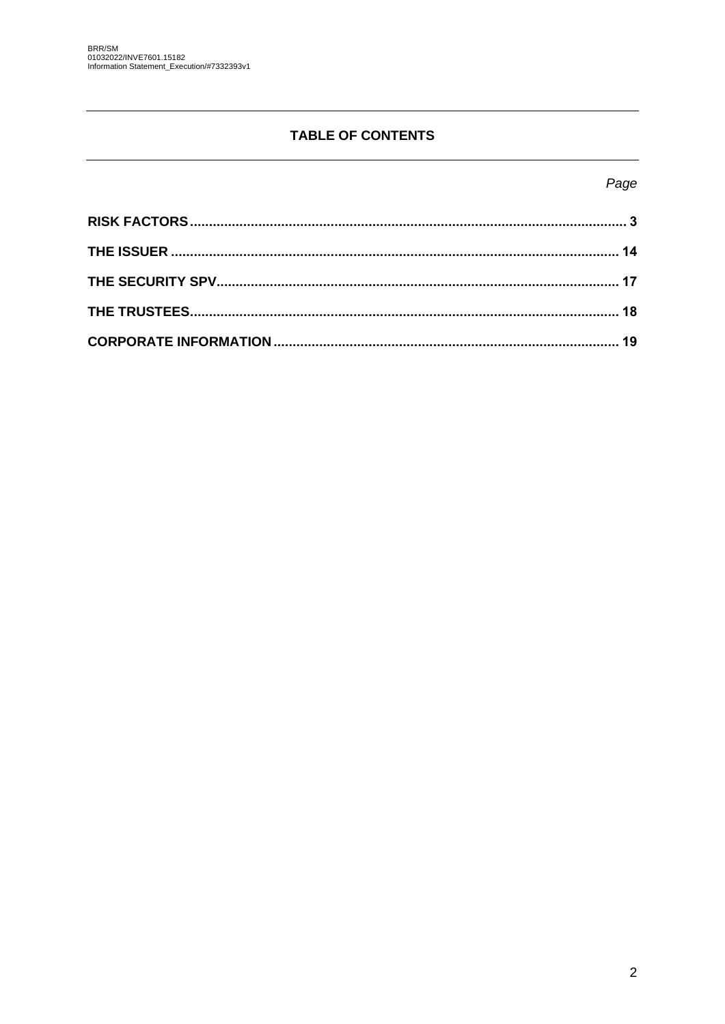# **TABLE OF CONTENTS**

# Page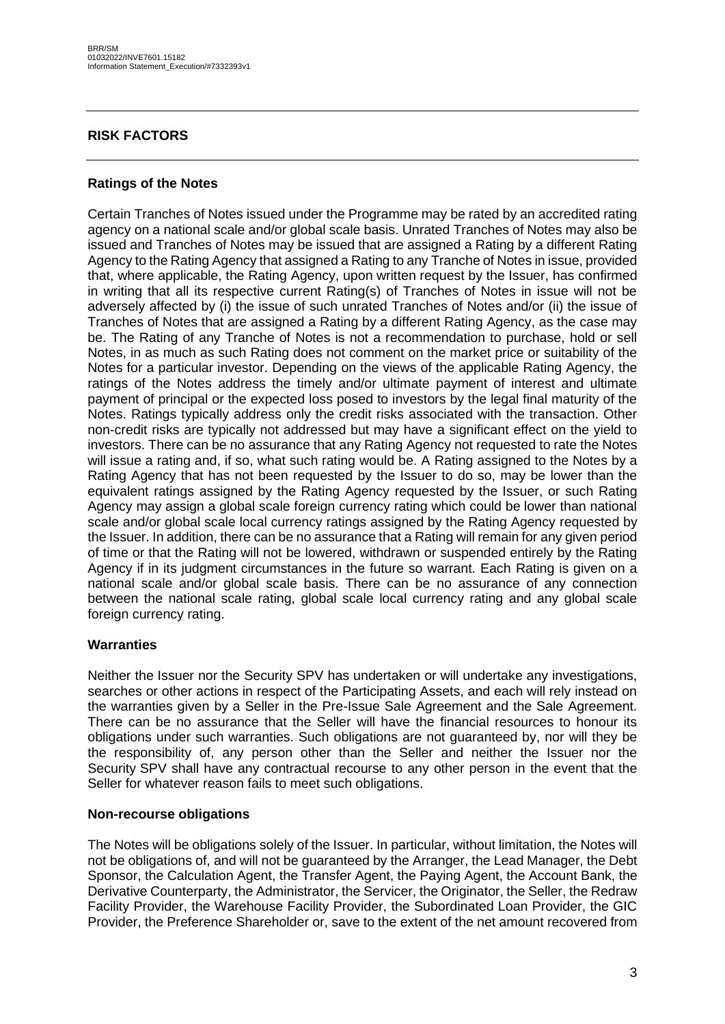### <span id="page-2-0"></span>**RISK FACTORS**

#### **Ratings of the Notes**

Certain Tranches of Notes issued under the Programme may be rated by an accredited rating agency on a national scale and/or global scale basis. Unrated Tranches of Notes may also be issued and Tranches of Notes may be issued that are assigned a Rating by a different Rating Agency to the Rating Agency that assigned a Rating to any Tranche of Notes in issue, provided that, where applicable, the Rating Agency, upon written request by the Issuer, has confirmed in writing that all its respective current Rating(s) of Tranches of Notes in issue will not be adversely affected by (i) the issue of such unrated Tranches of Notes and/or (ii) the issue of Tranches of Notes that are assigned a Rating by a different Rating Agency, as the case may be. The Rating of any Tranche of Notes is not a recommendation to purchase, hold or sell Notes, in as much as such Rating does not comment on the market price or suitability of the Notes for a particular investor. Depending on the views of the applicable Rating Agency, the ratings of the Notes address the timely and/or ultimate payment of interest and ultimate payment of principal or the expected loss posed to investors by the legal final maturity of the Notes. Ratings typically address only the credit risks associated with the transaction. Other non-credit risks are typically not addressed but may have a significant effect on the yield to investors. There can be no assurance that any Rating Agency not requested to rate the Notes will issue a rating and, if so, what such rating would be. A Rating assigned to the Notes by a Rating Agency that has not been requested by the Issuer to do so, may be lower than the equivalent ratings assigned by the Rating Agency requested by the Issuer, or such Rating Agency may assign a global scale foreign currency rating which could be lower than national scale and/or global scale local currency ratings assigned by the Rating Agency requested by the Issuer. In addition, there can be no assurance that a Rating will remain for any given period of time or that the Rating will not be lowered, withdrawn or suspended entirely by the Rating Agency if in its judgment circumstances in the future so warrant. Each Rating is given on a national scale and/or global scale basis. There can be no assurance of any connection between the national scale rating, global scale local currency rating and any global scale foreign currency rating.

#### **Warranties**

Neither the Issuer nor the Security SPV has undertaken or will undertake any investigations, searches or other actions in respect of the Participating Assets, and each will rely instead on the warranties given by a Seller in the Pre-Issue Sale Agreement and the Sale Agreement. There can be no assurance that the Seller will have the financial resources to honour its obligations under such warranties. Such obligations are not guaranteed by, nor will they be the responsibility of, any person other than the Seller and neither the Issuer nor the Security SPV shall have any contractual recourse to any other person in the event that the Seller for whatever reason fails to meet such obligations.

#### **Non-recourse obligations**

The Notes will be obligations solely of the Issuer. In particular, without limitation, the Notes will not be obligations of, and will not be guaranteed by the Arranger, the Lead Manager, the Debt Sponsor, the Calculation Agent, the Transfer Agent, the Paying Agent, the Account Bank, the Derivative Counterparty, the Administrator, the Servicer, the Originator, the Seller, the Redraw Facility Provider, the Warehouse Facility Provider, the Subordinated Loan Provider, the GIC Provider, the Preference Shareholder or, save to the extent of the net amount recovered from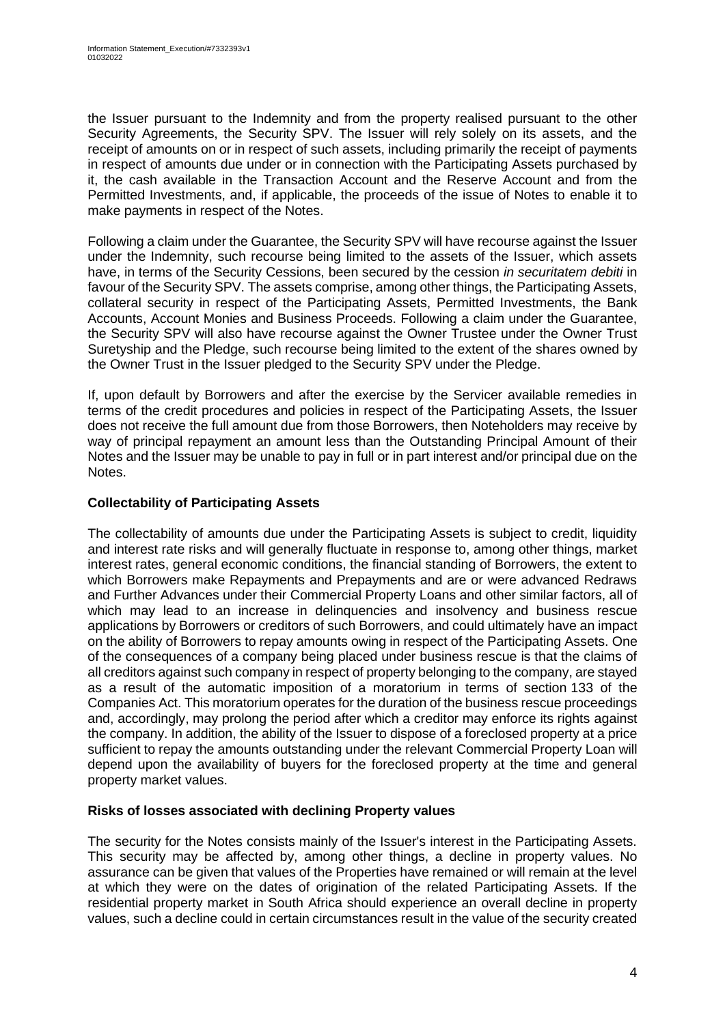the Issuer pursuant to the Indemnity and from the property realised pursuant to the other Security Agreements, the Security SPV. The Issuer will rely solely on its assets, and the receipt of amounts on or in respect of such assets, including primarily the receipt of payments in respect of amounts due under or in connection with the Participating Assets purchased by it, the cash available in the Transaction Account and the Reserve Account and from the Permitted Investments, and, if applicable, the proceeds of the issue of Notes to enable it to make payments in respect of the Notes.

Following a claim under the Guarantee, the Security SPV will have recourse against the Issuer under the Indemnity, such recourse being limited to the assets of the Issuer, which assets have, in terms of the Security Cessions, been secured by the cession *in securitatem debiti* in favour of the Security SPV. The assets comprise, among other things, the Participating Assets, collateral security in respect of the Participating Assets, Permitted Investments, the Bank Accounts, Account Monies and Business Proceeds. Following a claim under the Guarantee, the Security SPV will also have recourse against the Owner Trustee under the Owner Trust Suretyship and the Pledge, such recourse being limited to the extent of the shares owned by the Owner Trust in the Issuer pledged to the Security SPV under the Pledge.

If, upon default by Borrowers and after the exercise by the Servicer available remedies in terms of the credit procedures and policies in respect of the Participating Assets, the Issuer does not receive the full amount due from those Borrowers, then Noteholders may receive by way of principal repayment an amount less than the Outstanding Principal Amount of their Notes and the Issuer may be unable to pay in full or in part interest and/or principal due on the Notes.

# **Collectability of Participating Assets**

The collectability of amounts due under the Participating Assets is subject to credit, liquidity and interest rate risks and will generally fluctuate in response to, among other things, market interest rates, general economic conditions, the financial standing of Borrowers, the extent to which Borrowers make Repayments and Prepayments and are or were advanced Redraws and Further Advances under their Commercial Property Loans and other similar factors, all of which may lead to an increase in delinquencies and insolvency and business rescue applications by Borrowers or creditors of such Borrowers, and could ultimately have an impact on the ability of Borrowers to repay amounts owing in respect of the Participating Assets. One of the consequences of a company being placed under business rescue is that the claims of all creditors against such company in respect of property belonging to the company, are stayed as a result of the automatic imposition of a moratorium in terms of section 133 of the Companies Act. This moratorium operates for the duration of the business rescue proceedings and, accordingly, may prolong the period after which a creditor may enforce its rights against the company. In addition, the ability of the Issuer to dispose of a foreclosed property at a price sufficient to repay the amounts outstanding under the relevant Commercial Property Loan will depend upon the availability of buyers for the foreclosed property at the time and general property market values.

### **Risks of losses associated with declining Property values**

The security for the Notes consists mainly of the Issuer's interest in the Participating Assets. This security may be affected by, among other things, a decline in property values. No assurance can be given that values of the Properties have remained or will remain at the level at which they were on the dates of origination of the related Participating Assets. If the residential property market in South Africa should experience an overall decline in property values, such a decline could in certain circumstances result in the value of the security created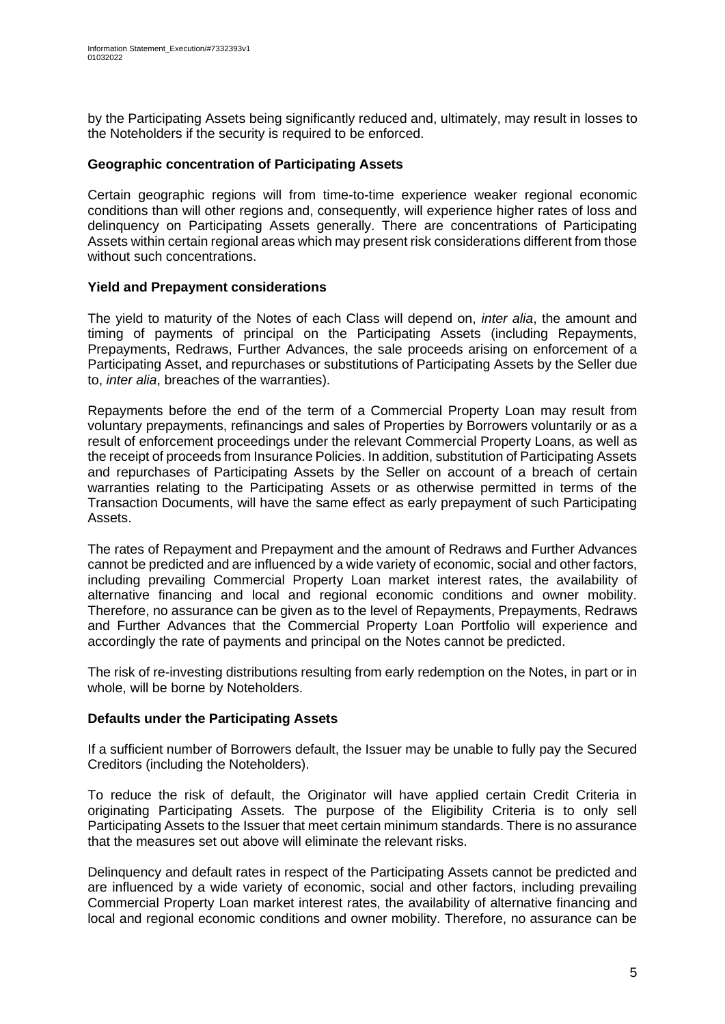by the Participating Assets being significantly reduced and, ultimately, may result in losses to the Noteholders if the security is required to be enforced.

### **Geographic concentration of Participating Assets**

Certain geographic regions will from time-to-time experience weaker regional economic conditions than will other regions and, consequently, will experience higher rates of loss and delinquency on Participating Assets generally. There are concentrations of Participating Assets within certain regional areas which may present risk considerations different from those without such concentrations.

### **Yield and Prepayment considerations**

The yield to maturity of the Notes of each Class will depend on, *inter alia*, the amount and timing of payments of principal on the Participating Assets (including Repayments, Prepayments, Redraws, Further Advances, the sale proceeds arising on enforcement of a Participating Asset, and repurchases or substitutions of Participating Assets by the Seller due to, *inter alia*, breaches of the warranties).

Repayments before the end of the term of a Commercial Property Loan may result from voluntary prepayments, refinancings and sales of Properties by Borrowers voluntarily or as a result of enforcement proceedings under the relevant Commercial Property Loans, as well as the receipt of proceeds from Insurance Policies. In addition, substitution of Participating Assets and repurchases of Participating Assets by the Seller on account of a breach of certain warranties relating to the Participating Assets or as otherwise permitted in terms of the Transaction Documents, will have the same effect as early prepayment of such Participating Assets.

The rates of Repayment and Prepayment and the amount of Redraws and Further Advances cannot be predicted and are influenced by a wide variety of economic, social and other factors, including prevailing Commercial Property Loan market interest rates, the availability of alternative financing and local and regional economic conditions and owner mobility. Therefore, no assurance can be given as to the level of Repayments, Prepayments, Redraws and Further Advances that the Commercial Property Loan Portfolio will experience and accordingly the rate of payments and principal on the Notes cannot be predicted.

The risk of re-investing distributions resulting from early redemption on the Notes, in part or in whole, will be borne by Noteholders.

### **Defaults under the Participating Assets**

If a sufficient number of Borrowers default, the Issuer may be unable to fully pay the Secured Creditors (including the Noteholders).

To reduce the risk of default, the Originator will have applied certain Credit Criteria in originating Participating Assets. The purpose of the Eligibility Criteria is to only sell Participating Assets to the Issuer that meet certain minimum standards. There is no assurance that the measures set out above will eliminate the relevant risks.

Delinquency and default rates in respect of the Participating Assets cannot be predicted and are influenced by a wide variety of economic, social and other factors, including prevailing Commercial Property Loan market interest rates, the availability of alternative financing and local and regional economic conditions and owner mobility. Therefore, no assurance can be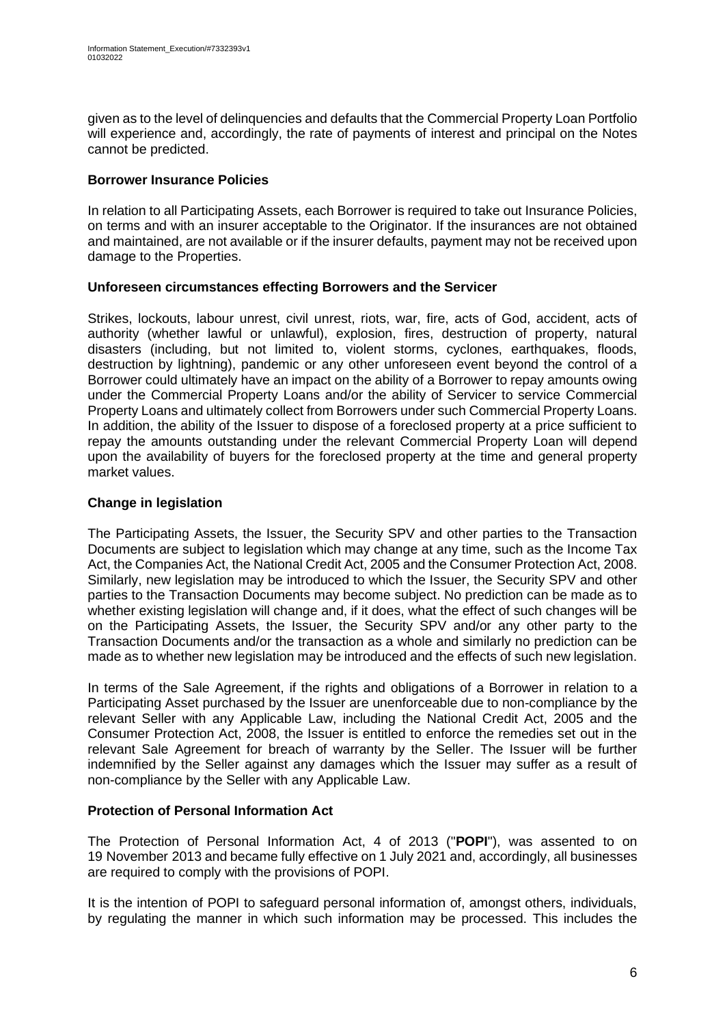given as to the level of delinquencies and defaults that the Commercial Property Loan Portfolio will experience and, accordingly, the rate of payments of interest and principal on the Notes cannot be predicted.

# **Borrower Insurance Policies**

In relation to all Participating Assets, each Borrower is required to take out Insurance Policies, on terms and with an insurer acceptable to the Originator. If the insurances are not obtained and maintained, are not available or if the insurer defaults, payment may not be received upon damage to the Properties.

### **Unforeseen circumstances effecting Borrowers and the Servicer**

Strikes, lockouts, labour unrest, civil unrest, riots, war, fire, acts of God, accident, acts of authority (whether lawful or unlawful), explosion, fires, destruction of property, natural disasters (including, but not limited to, violent storms, cyclones, earthquakes, floods, destruction by lightning), pandemic or any other unforeseen event beyond the control of a Borrower could ultimately have an impact on the ability of a Borrower to repay amounts owing under the Commercial Property Loans and/or the ability of Servicer to service Commercial Property Loans and ultimately collect from Borrowers under such Commercial Property Loans. In addition, the ability of the Issuer to dispose of a foreclosed property at a price sufficient to repay the amounts outstanding under the relevant Commercial Property Loan will depend upon the availability of buyers for the foreclosed property at the time and general property market values.

## **Change in legislation**

The Participating Assets, the Issuer, the Security SPV and other parties to the Transaction Documents are subject to legislation which may change at any time, such as the Income Tax Act, the Companies Act, the National Credit Act, 2005 and the Consumer Protection Act, 2008. Similarly, new legislation may be introduced to which the Issuer, the Security SPV and other parties to the Transaction Documents may become subject. No prediction can be made as to whether existing legislation will change and, if it does, what the effect of such changes will be on the Participating Assets, the Issuer, the Security SPV and/or any other party to the Transaction Documents and/or the transaction as a whole and similarly no prediction can be made as to whether new legislation may be introduced and the effects of such new legislation.

In terms of the Sale Agreement, if the rights and obligations of a Borrower in relation to a Participating Asset purchased by the Issuer are unenforceable due to non-compliance by the relevant Seller with any Applicable Law, including the National Credit Act, 2005 and the Consumer Protection Act, 2008, the Issuer is entitled to enforce the remedies set out in the relevant Sale Agreement for breach of warranty by the Seller. The Issuer will be further indemnified by the Seller against any damages which the Issuer may suffer as a result of non-compliance by the Seller with any Applicable Law.

### **Protection of Personal Information Act**

The Protection of Personal Information Act, 4 of 2013 ("**POPI**"), was assented to on 19 November 2013 and became fully effective on 1 July 2021 and, accordingly, all businesses are required to comply with the provisions of POPI.

It is the intention of POPI to safeguard personal information of, amongst others, individuals, by regulating the manner in which such information may be processed. This includes the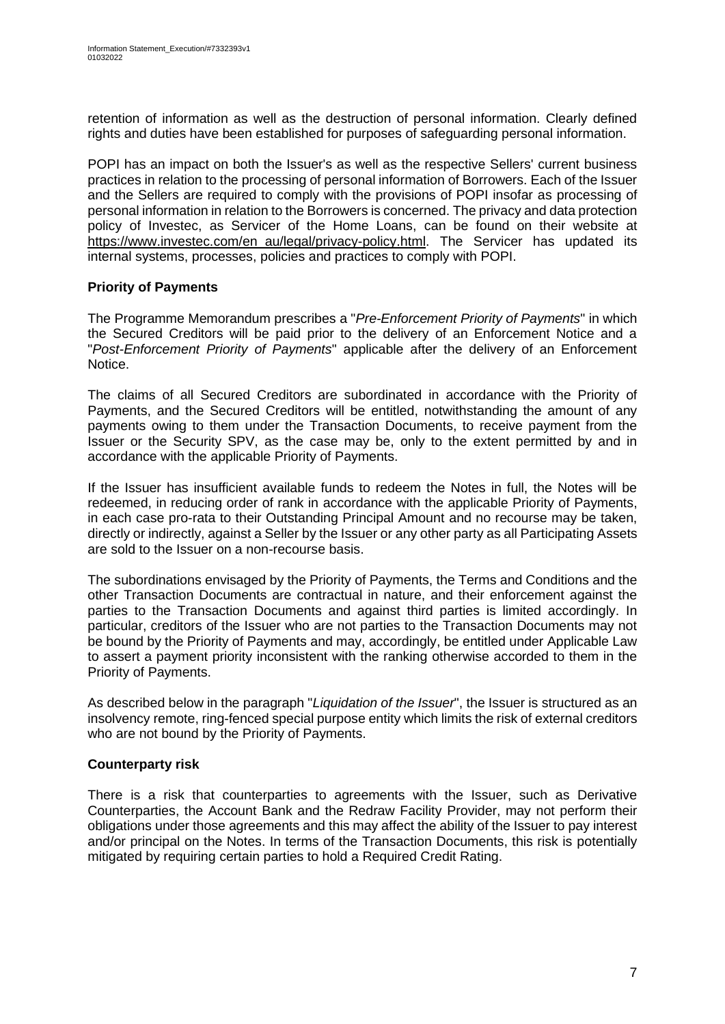retention of information as well as the destruction of personal information. Clearly defined rights and duties have been established for purposes of safeguarding personal information.

POPI has an impact on both the Issuer's as well as the respective Sellers' current business practices in relation to the processing of personal information of Borrowers. Each of the Issuer and the Sellers are required to comply with the provisions of POPI insofar as processing of personal information in relation to the Borrowers is concerned. The privacy and data protection policy of Investec, as Servicer of the Home Loans, can be found on their website at [https://www.investec.com/en\\_au/legal/privacy-policy.html.](https://www.investec.com/en_au/legal/privacy-policy.html) The Servicer has updated its internal systems, processes, policies and practices to comply with POPI.

## **Priority of Payments**

The Programme Memorandum prescribes a "*Pre-Enforcement Priority of Payments*" in which the Secured Creditors will be paid prior to the delivery of an Enforcement Notice and a "*Post-Enforcement Priority of Payments*" applicable after the delivery of an Enforcement Notice.

The claims of all Secured Creditors are subordinated in accordance with the Priority of Payments, and the Secured Creditors will be entitled, notwithstanding the amount of any payments owing to them under the Transaction Documents, to receive payment from the Issuer or the Security SPV, as the case may be, only to the extent permitted by and in accordance with the applicable Priority of Payments.

If the Issuer has insufficient available funds to redeem the Notes in full, the Notes will be redeemed, in reducing order of rank in accordance with the applicable Priority of Payments, in each case pro-rata to their Outstanding Principal Amount and [no recourse](https://www.lawinsider.com/clause/no-recourse) may be [taken,](https://www.lawinsider.com/clause/taken) [directly or indirectly,](https://www.lawinsider.com/clause/directly-or-indirectly) against a Seller by the Issuer or any other party as all Participating Assets are sold to the Issuer on a non-recourse basis.

The subordinations envisaged by the Priority of Payments, the Terms and Conditions and the other Transaction Documents are contractual in nature, and their enforcement against the parties to the Transaction Documents and against third parties is limited accordingly. In particular, creditors of the Issuer who are not parties to the Transaction Documents may not be bound by the Priority of Payments and may, accordingly, be entitled under Applicable Law to assert a payment priority inconsistent with the ranking otherwise accorded to them in the Priority of Payments.

As described below in the paragraph "*Liquidation of the Issuer*", the Issuer is structured as an insolvency remote, ring-fenced special purpose entity which limits the risk of external creditors who are not bound by the Priority of Payments.

# **Counterparty risk**

There is a risk that counterparties to agreements with the Issuer, such as Derivative Counterparties, the Account Bank and the Redraw Facility Provider, may not perform their obligations under those agreements and this may affect the ability of the Issuer to pay interest and/or principal on the Notes. In terms of the Transaction Documents, this risk is potentially mitigated by requiring certain parties to hold a Required Credit Rating.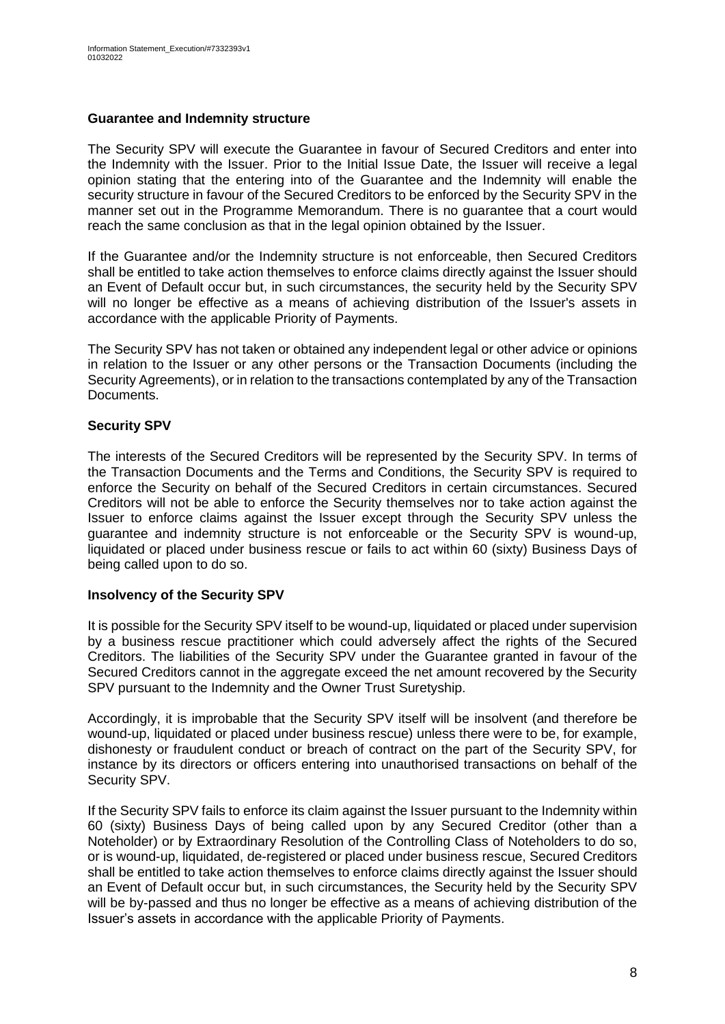#### **Guarantee and Indemnity structure**

The Security SPV will execute the Guarantee in favour of Secured Creditors and enter into the Indemnity with the Issuer. Prior to the Initial Issue Date, the Issuer will receive a legal opinion stating that the entering into of the Guarantee and the Indemnity will enable the security structure in favour of the Secured Creditors to be enforced by the Security SPV in the manner set out in the Programme Memorandum. There is no guarantee that a court would reach the same conclusion as that in the legal opinion obtained by the Issuer.

If the Guarantee and/or the Indemnity structure is not enforceable, then Secured Creditors shall be entitled to take action themselves to enforce claims directly against the Issuer should an Event of Default occur but, in such circumstances, the security held by the Security SPV will no longer be effective as a means of achieving distribution of the Issuer's assets in accordance with the applicable Priority of Payments.

The Security SPV has not taken or obtained any independent legal or other advice or opinions in relation to the Issuer or any other persons or the Transaction Documents (including the Security Agreements), or in relation to the transactions contemplated by any of the Transaction Documents.

### **Security SPV**

The interests of the Secured Creditors will be represented by the Security SPV. In terms of the Transaction Documents and the Terms and Conditions, the Security SPV is required to enforce the Security on behalf of the Secured Creditors in certain circumstances. Secured Creditors will not be able to enforce the Security themselves nor to take action against the Issuer to enforce claims against the Issuer except through the Security SPV unless the guarantee and indemnity structure is not enforceable or the Security SPV is wound-up, liquidated or placed under business rescue or fails to act within 60 (sixty) Business Days of being called upon to do so.

### **Insolvency of the Security SPV**

It is possible for the Security SPV itself to be wound-up, liquidated or placed under supervision by a business rescue practitioner which could adversely affect the rights of the Secured Creditors. The liabilities of the Security SPV under the Guarantee granted in favour of the Secured Creditors cannot in the aggregate exceed the net amount recovered by the Security SPV pursuant to the Indemnity and the Owner Trust Suretyship.

Accordingly, it is improbable that the Security SPV itself will be insolvent (and therefore be wound-up, liquidated or placed under business rescue) unless there were to be, for example, dishonesty or fraudulent conduct or breach of contract on the part of the Security SPV, for instance by its directors or officers entering into unauthorised transactions on behalf of the Security SPV.

If the Security SPV fails to enforce its claim against the Issuer pursuant to the Indemnity within 60 (sixty) Business Days of being called upon by any Secured Creditor (other than a Noteholder) or by Extraordinary Resolution of the Controlling Class of Noteholders to do so, or is wound-up, liquidated, de-registered or placed under business rescue, Secured Creditors shall be entitled to take action themselves to enforce claims directly against the Issuer should an Event of Default occur but, in such circumstances, the Security held by the Security SPV will be by-passed and thus no longer be effective as a means of achieving distribution of the Issuer's assets in accordance with the applicable Priority of Payments.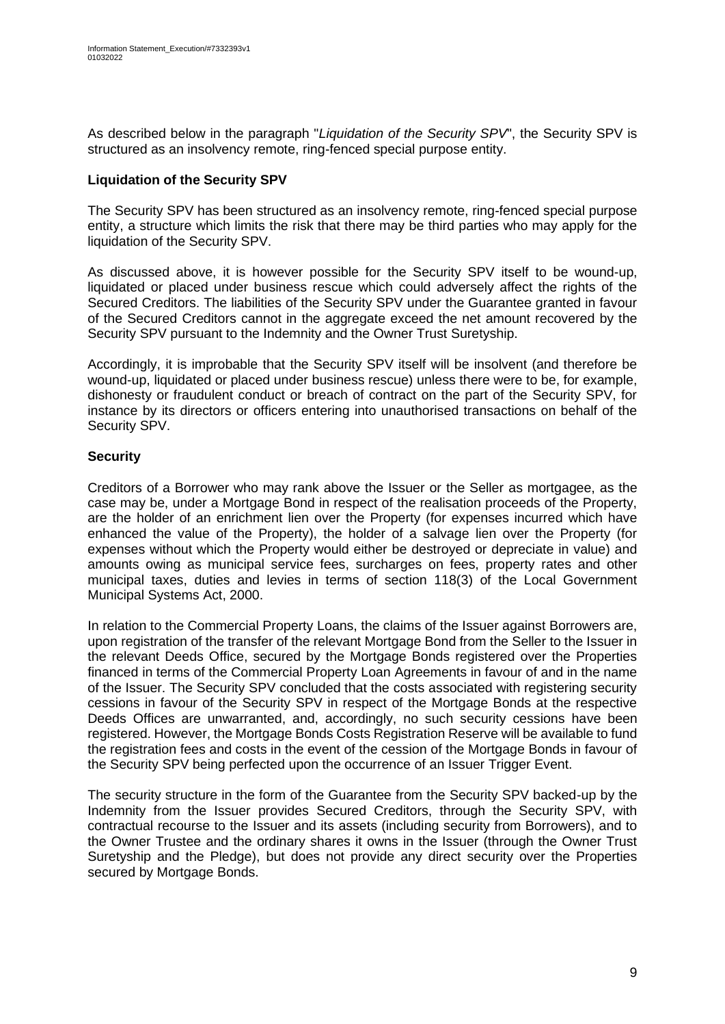As described below in the paragraph "*Liquidation of the Security SPV*", the Security SPV is structured as an insolvency remote, ring-fenced special purpose entity.

### **Liquidation of the Security SPV**

The Security SPV has been structured as an insolvency remote, ring-fenced special purpose entity, a structure which limits the risk that there may be third parties who may apply for the liquidation of the Security SPV.

As discussed above, it is however possible for the Security SPV itself to be wound-up, liquidated or placed under business rescue which could adversely affect the rights of the Secured Creditors. The liabilities of the Security SPV under the Guarantee granted in favour of the Secured Creditors cannot in the aggregate exceed the net amount recovered by the Security SPV pursuant to the Indemnity and the Owner Trust Suretyship.

Accordingly, it is improbable that the Security SPV itself will be insolvent (and therefore be wound-up, liquidated or placed under business rescue) unless there were to be, for example, dishonesty or fraudulent conduct or breach of contract on the part of the Security SPV, for instance by its directors or officers entering into unauthorised transactions on behalf of the Security SPV.

### **Security**

Creditors of a Borrower who may rank above the Issuer or the Seller as mortgagee, as the case may be, under a Mortgage Bond in respect of the realisation proceeds of the Property, are the holder of an enrichment lien over the Property (for expenses incurred which have enhanced the value of the Property), the holder of a salvage lien over the Property (for expenses without which the Property would either be destroyed or depreciate in value) and amounts owing as municipal service fees, surcharges on fees, property rates and other municipal taxes, duties and levies in terms of section 118(3) of the Local Government Municipal Systems Act, 2000.

In relation to the Commercial Property Loans, the claims of the Issuer against Borrowers are, upon registration of the transfer of the relevant Mortgage Bond from the Seller to the Issuer in the relevant Deeds Office, secured by the Mortgage Bonds registered over the Properties financed in terms of the Commercial Property Loan Agreements in favour of and in the name of the Issuer. The Security SPV concluded that the costs associated with registering security cessions in favour of the Security SPV in respect of the Mortgage Bonds at the respective Deeds Offices are unwarranted, and, accordingly, no such security cessions have been registered. However, the Mortgage Bonds Costs Registration Reserve will be available to fund the registration fees and costs in the event of the cession of the Mortgage Bonds in favour of the Security SPV being perfected upon the occurrence of an Issuer Trigger Event.

The security structure in the form of the Guarantee from the Security SPV backed-up by the Indemnity from the Issuer provides Secured Creditors, through the Security SPV, with contractual recourse to the Issuer and its assets (including security from Borrowers), and to the Owner Trustee and the ordinary shares it owns in the Issuer (through the Owner Trust Suretyship and the Pledge), but does not provide any direct security over the Properties secured by Mortgage Bonds.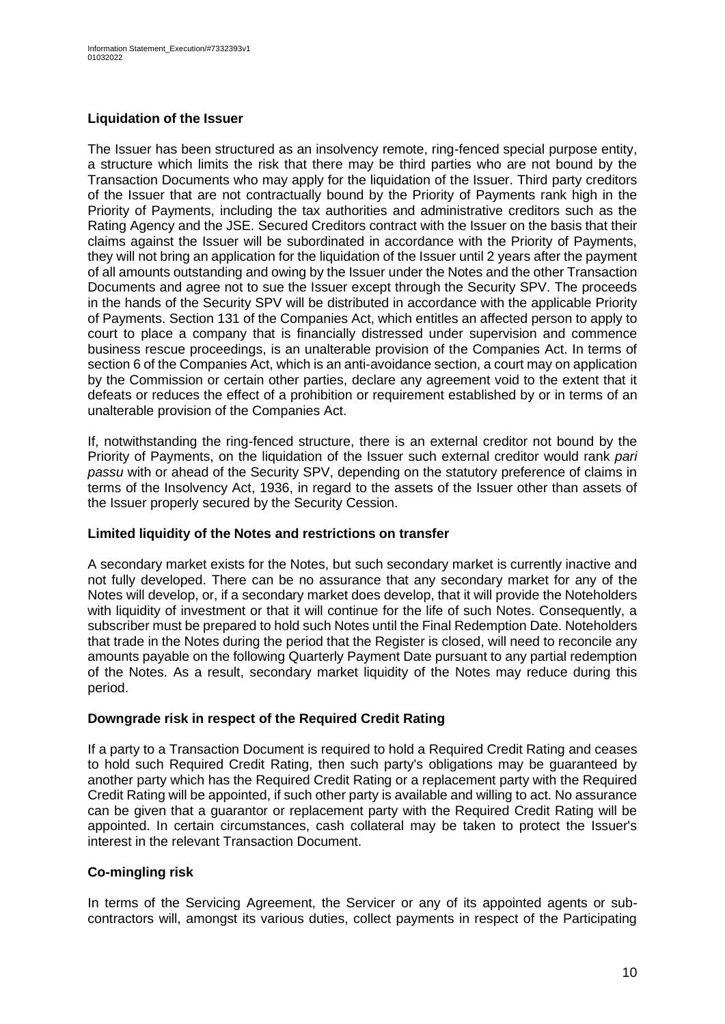# **Liquidation of the Issuer**

The Issuer has been structured as an insolvency remote, ring-fenced special purpose entity, a structure which limits the risk that there may be third parties who are not bound by the Transaction Documents who may apply for the liquidation of the Issuer. Third party creditors of the Issuer that are not contractually bound by the Priority of Payments rank high in the Priority of Payments, including the tax authorities and administrative creditors such as the Rating Agency and the JSE. Secured Creditors contract with the Issuer on the basis that their claims against the Issuer will be subordinated in accordance with the Priority of Payments, they will not bring an application for the liquidation of the Issuer until 2 years after the payment of all amounts outstanding and owing by the Issuer under the Notes and the other Transaction Documents and agree not to sue the Issuer except through the Security SPV. The proceeds in the hands of the Security SPV will be distributed in accordance with the applicable Priority of Payments. Section 131 of the Companies Act, which entitles an affected person to apply to court to place a company that is financially distressed under supervision and commence business rescue proceedings, is an unalterable provision of the Companies Act. In terms of section 6 of the Companies Act, which is an anti-avoidance section, a court may on application by the Commission or certain other parties, declare any agreement void to the extent that it defeats or reduces the effect of a prohibition or requirement established by or in terms of an unalterable provision of the Companies Act.

If, notwithstanding the ring-fenced structure, there is an external creditor not bound by the Priority of Payments, on the liquidation of the Issuer such external creditor would rank *pari passu* with or ahead of the Security SPV, depending on the statutory preference of claims in terms of the Insolvency Act, 1936, in regard to the assets of the Issuer other than assets of the Issuer properly secured by the Security Cession.

### **Limited liquidity of the Notes and restrictions on transfer**

A secondary market exists for the Notes, but such secondary market is currently inactive and not fully developed. There can be no assurance that any secondary market for any of the Notes will develop, or, if a secondary market does develop, that it will provide the Noteholders with liquidity of investment or that it will continue for the life of such Notes. Consequently, a subscriber must be prepared to hold such Notes until the Final Redemption Date. Noteholders that trade in the Notes during the period that the Register is closed, will need to reconcile any amounts payable on the following Quarterly Payment Date pursuant to any partial redemption of the Notes. As a result, secondary market liquidity of the Notes may reduce during this period.

### **Downgrade risk in respect of the Required Credit Rating**

If a party to a Transaction Document is required to hold a Required Credit Rating and ceases to hold such Required Credit Rating, then such party's obligations may be guaranteed by another party which has the Required Credit Rating or a replacement party with the Required Credit Rating will be appointed, if such other party is available and willing to act. No assurance can be given that a guarantor or replacement party with the Required Credit Rating will be appointed. In certain circumstances, cash collateral may be taken to protect the Issuer's interest in the relevant Transaction Document.

### **Co-mingling risk**

In terms of the Servicing Agreement, the Servicer or any of its appointed agents or subcontractors will, amongst its various duties, collect payments in respect of the Participating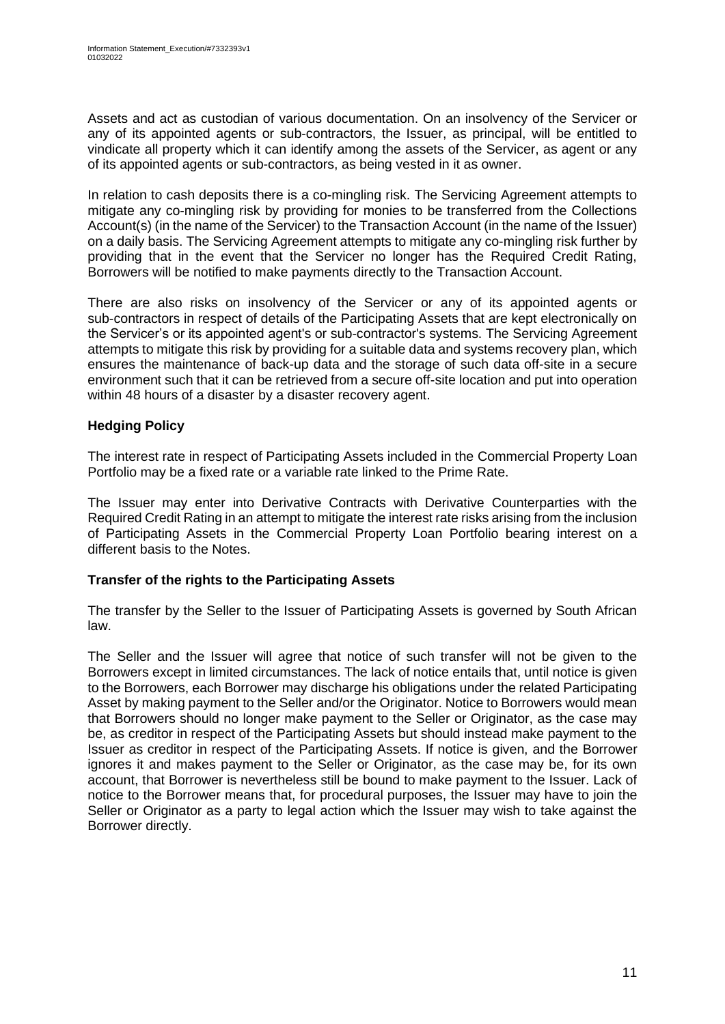Assets and act as custodian of various documentation. On an insolvency of the Servicer or any of its appointed agents or sub-contractors, the Issuer, as principal, will be entitled to vindicate all property which it can identify among the assets of the Servicer, as agent or any of its appointed agents or sub-contractors, as being vested in it as owner.

In relation to cash deposits there is a co-mingling risk. The Servicing Agreement attempts to mitigate any co-mingling risk by providing for monies to be transferred from the Collections Account(s) (in the name of the Servicer) to the Transaction Account (in the name of the Issuer) on a daily basis. The Servicing Agreement attempts to mitigate any co-mingling risk further by providing that in the event that the Servicer no longer has the Required Credit Rating, Borrowers will be notified to make payments directly to the Transaction Account.

There are also risks on insolvency of the Servicer or any of its appointed agents or sub-contractors in respect of details of the Participating Assets that are kept electronically on the Servicer's or its appointed agent's or sub-contractor's systems. The Servicing Agreement attempts to mitigate this risk by providing for a suitable data and systems recovery plan, which ensures the maintenance of back-up data and the storage of such data off-site in a secure environment such that it can be retrieved from a secure off-site location and put into operation within 48 hours of a disaster by a disaster recovery agent.

# **Hedging Policy**

The interest rate in respect of Participating Assets included in the Commercial Property Loan Portfolio may be a fixed rate or a variable rate linked to the Prime Rate.

The Issuer may enter into Derivative Contracts with Derivative Counterparties with the Required Credit Rating in an attempt to mitigate the interest rate risks arising from the inclusion of Participating Assets in the Commercial Property Loan Portfolio bearing interest on a different basis to the Notes.

# **Transfer of the rights to the Participating Assets**

The transfer by the Seller to the Issuer of Participating Assets is governed by South African law.

The Seller and the Issuer will agree that notice of such transfer will not be given to the Borrowers except in limited circumstances. The lack of notice entails that, until notice is given to the Borrowers, each Borrower may discharge his obligations under the related Participating Asset by making payment to the Seller and/or the Originator. Notice to Borrowers would mean that Borrowers should no longer make payment to the Seller or Originator, as the case may be, as creditor in respect of the Participating Assets but should instead make payment to the Issuer as creditor in respect of the Participating Assets. If notice is given, and the Borrower ignores it and makes payment to the Seller or Originator, as the case may be, for its own account, that Borrower is nevertheless still be bound to make payment to the Issuer. Lack of notice to the Borrower means that, for procedural purposes, the Issuer may have to join the Seller or Originator as a party to legal action which the Issuer may wish to take against the Borrower directly.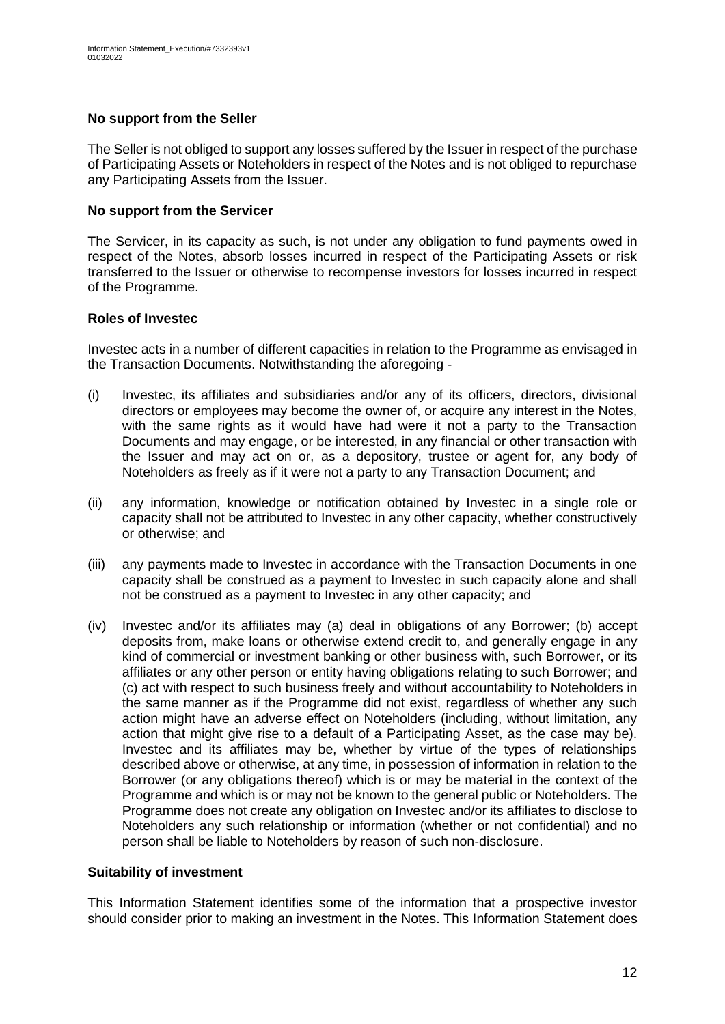### **No support from the Seller**

The Seller is not obliged to support any losses suffered by the Issuer in respect of the purchase of Participating Assets or Noteholders in respect of the Notes and is not obliged to repurchase any Participating Assets from the Issuer.

#### **No support from the Servicer**

The Servicer, in its capacity as such, is not under any obligation to fund payments owed in respect of the Notes, absorb losses incurred in respect of the Participating Assets or risk transferred to the Issuer or otherwise to recompense investors for losses incurred in respect of the Programme.

#### **Roles of Investec**

Investec acts in a number of different capacities in relation to the Programme as envisaged in the Transaction Documents. Notwithstanding the aforegoing -

- (i) Investec, its affiliates and subsidiaries and/or any of its officers, directors, divisional directors or employees may become the owner of, or acquire any interest in the Notes, with the same rights as it would have had were it not a party to the Transaction Documents and may engage, or be interested, in any financial or other transaction with the Issuer and may act on or, as a depository, trustee or agent for, any body of Noteholders as freely as if it were not a party to any Transaction Document; and
- (ii) any information, knowledge or notification obtained by Investec in a single role or capacity shall not be attributed to Investec in any other capacity, whether constructively or otherwise; and
- (iii) any payments made to Investec in accordance with the Transaction Documents in one capacity shall be construed as a payment to Investec in such capacity alone and shall not be construed as a payment to Investec in any other capacity; and
- (iv) Investec and/or its affiliates may (a) deal in obligations of any Borrower; (b) accept deposits from, make loans or otherwise extend credit to, and generally engage in any kind of commercial or investment banking or other business with, such Borrower, or its affiliates or any other person or entity having obligations relating to such Borrower; and (c) act with respect to such business freely and without accountability to Noteholders in the same manner as if the Programme did not exist, regardless of whether any such action might have an adverse effect on Noteholders (including, without limitation, any action that might give rise to a default of a Participating Asset, as the case may be). Investec and its affiliates may be, whether by virtue of the types of relationships described above or otherwise, at any time, in possession of information in relation to the Borrower (or any obligations thereof) which is or may be material in the context of the Programme and which is or may not be known to the general public or Noteholders. The Programme does not create any obligation on Investec and/or its affiliates to disclose to Noteholders any such relationship or information (whether or not confidential) and no person shall be liable to Noteholders by reason of such non-disclosure.

### **Suitability of investment**

This Information Statement identifies some of the information that a prospective investor should consider prior to making an investment in the Notes. This Information Statement does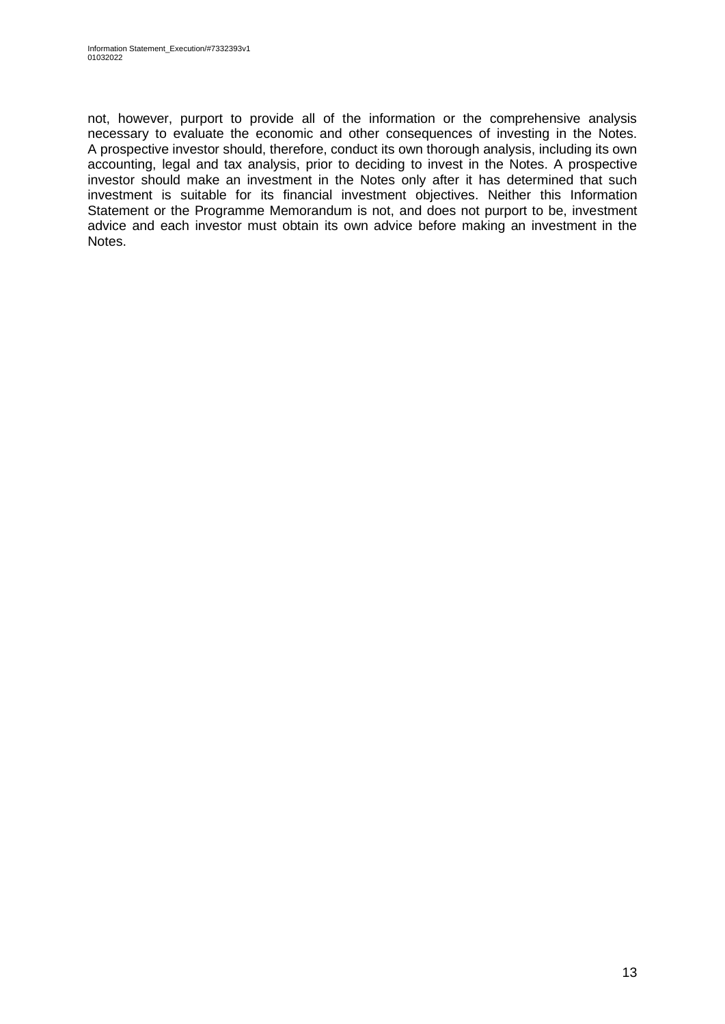not, however, purport to provide all of the information or the comprehensive analysis necessary to evaluate the economic and other consequences of investing in the Notes. A prospective investor should, therefore, conduct its own thorough analysis, including its own accounting, legal and tax analysis, prior to deciding to invest in the Notes. A prospective investor should make an investment in the Notes only after it has determined that such investment is suitable for its financial investment objectives. Neither this Information Statement or the Programme Memorandum is not, and does not purport to be, investment advice and each investor must obtain its own advice before making an investment in the Notes.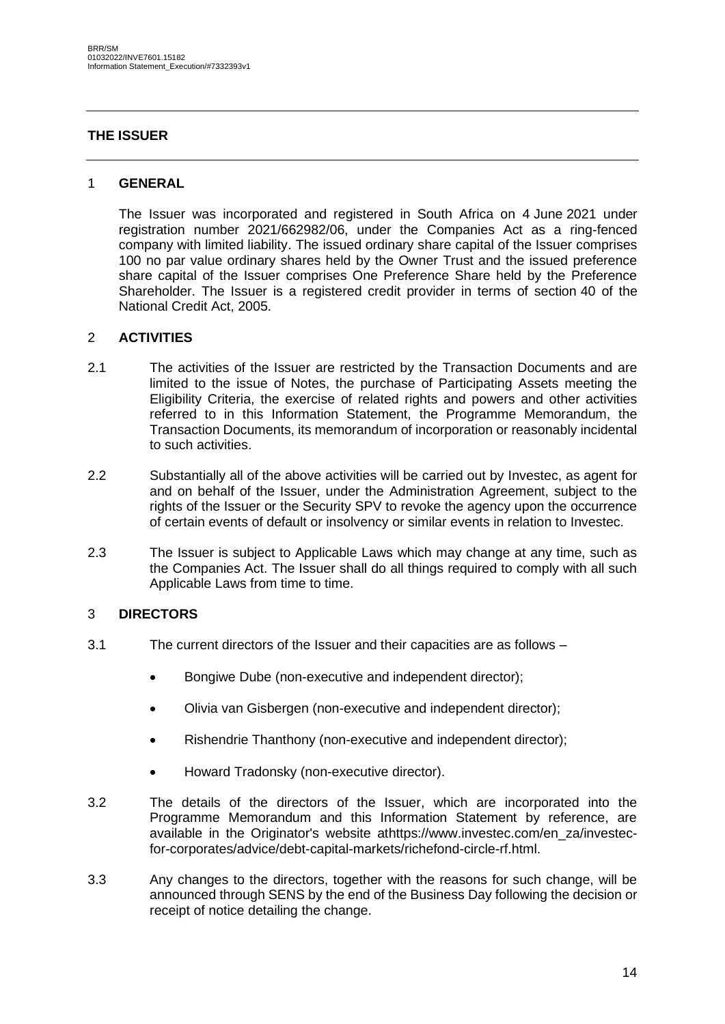### <span id="page-13-0"></span>**THE ISSUER**

#### 1 **GENERAL**

The Issuer was incorporated and registered in South Africa on 4 June 2021 under registration number 2021/662982/06, under the Companies Act as a ring-fenced company with limited liability. The issued ordinary share capital of the Issuer comprises 100 no par value ordinary shares held by the Owner Trust and the issued preference share capital of the Issuer comprises One Preference Share held by the Preference Shareholder. The Issuer is a registered credit provider in terms of section 40 of the National Credit Act, 2005.

#### 2 **ACTIVITIES**

- 2.1 The activities of the Issuer are restricted by the Transaction Documents and are limited to the issue of Notes, the purchase of Participating Assets meeting the Eligibility Criteria, the exercise of related rights and powers and other activities referred to in this Information Statement, the Programme Memorandum, the Transaction Documents, its memorandum of incorporation or reasonably incidental to such activities.
- 2.2 Substantially all of the above activities will be carried out by Investec, as agent for and on behalf of the Issuer, under the Administration Agreement, subject to the rights of the Issuer or the Security SPV to revoke the agency upon the occurrence of certain events of default or insolvency or similar events in relation to Investec.
- 2.3 The Issuer is subject to Applicable Laws which may change at any time, such as the Companies Act. The Issuer shall do all things required to comply with all such Applicable Laws from time to time.

### 3 **DIRECTORS**

- 3.1 The current directors of the Issuer and their capacities are as follows
	- Bongiwe Dube (non-executive and independent director);
	- Olivia van Gisbergen (non-executive and independent director);
	- Rishendrie Thanthony (non-executive and independent director);
	- Howard Tradonsky (non-executive director).
- 3.2 The details of the directors of the Issuer, which are incorporated into the Programme Memorandum and this Information Statement by reference, are available in the Originator's website athttps://www.investec.com/en\_za/investecfor-corporates/advice/debt-capital-markets/richefond-circle-rf.html.
- 3.3 Any changes to the directors, together with the reasons for such change, will be announced through SENS by the end of the Business Day following the decision or receipt of notice detailing the change.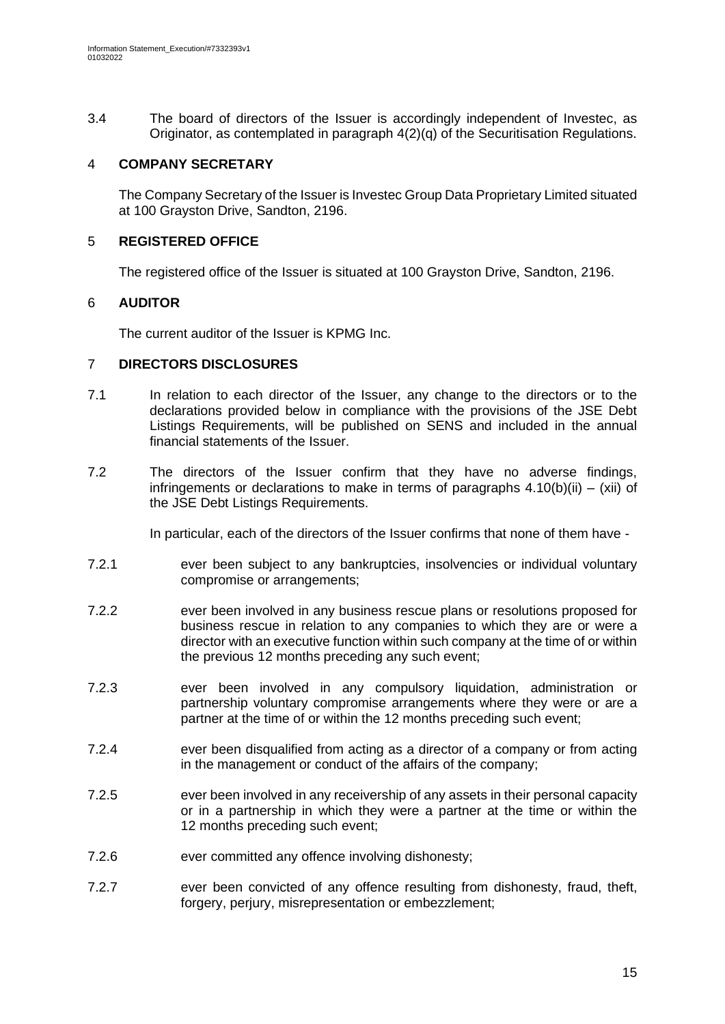3.4 The board of directors of the Issuer is accordingly independent of Investec, as Originator, as contemplated in paragraph 4(2)(q) of the Securitisation Regulations.

### 4 **COMPANY SECRETARY**

The Company Secretary of the Issuer is Investec Group Data Proprietary Limited situated at 100 Grayston Drive, Sandton, 2196.

## 5 **REGISTERED OFFICE**

The registered office of the Issuer is situated at 100 Grayston Drive, Sandton, 2196.

### 6 **AUDITOR**

The current auditor of the Issuer is KPMG Inc.

#### 7 **DIRECTORS DISCLOSURES**

- 7.1 In relation to each director of the Issuer, any change to the directors or to the declarations provided below in compliance with the provisions of the JSE Debt Listings Requirements, will be published on SENS and included in the annual financial statements of the Issuer.
- 7.2 The directors of the Issuer confirm that they have no adverse findings, infringements or declarations to make in terms of paragraphs  $4.10(b)(ii) - (xii)$  of the JSE Debt Listings Requirements.

In particular, each of the directors of the Issuer confirms that none of them have -

- 7.2.1 ever been subject to any bankruptcies, insolvencies or individual voluntary compromise or arrangements;
- 7.2.2 ever been involved in any business rescue plans or resolutions proposed for business rescue in relation to any companies to which they are or were a director with an executive function within such company at the time of or within the previous 12 months preceding any such event;
- 7.2.3 ever been involved in any compulsory liquidation, administration or partnership voluntary compromise arrangements where they were or are a partner at the time of or within the 12 months preceding such event;
- 7.2.4 ever been disqualified from acting as a director of a company or from acting in the management or conduct of the affairs of the company;
- 7.2.5 ever been involved in any receivership of any assets in their personal capacity or in a partnership in which they were a partner at the time or within the 12 months preceding such event;
- 7.2.6 ever committed any offence involving dishonesty;
- 7.2.7 ever been convicted of any offence resulting from dishonesty, fraud, theft, forgery, periury, misrepresentation or embezzlement;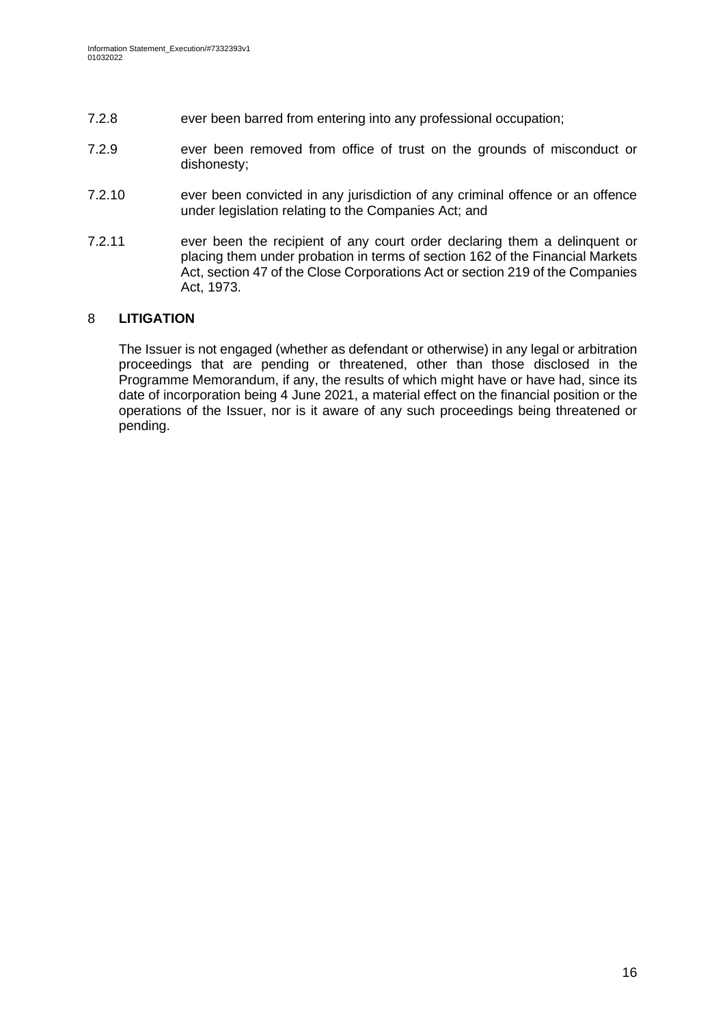- 7.2.8 ever been barred from entering into any professional occupation;
- 7.2.9 ever been removed from office of trust on the grounds of misconduct or dishonesty;
- 7.2.10 ever been convicted in any jurisdiction of any criminal offence or an offence under legislation relating to the Companies Act; and
- 7.2.11 ever been the recipient of any court order declaring them a delinquent or placing them under probation in terms of section 162 of the Financial Markets Act, section 47 of the Close Corporations Act or section 219 of the Companies Act, 1973.

## 8 **LITIGATION**

The Issuer is not engaged (whether as defendant or otherwise) in any legal or arbitration proceedings that are pending or threatened, other than those disclosed in the Programme Memorandum, if any, the results of which might have or have had, since its date of incorporation being 4 June 2021, a material effect on the financial position or the operations of the Issuer, nor is it aware of any such proceedings being threatened or pending.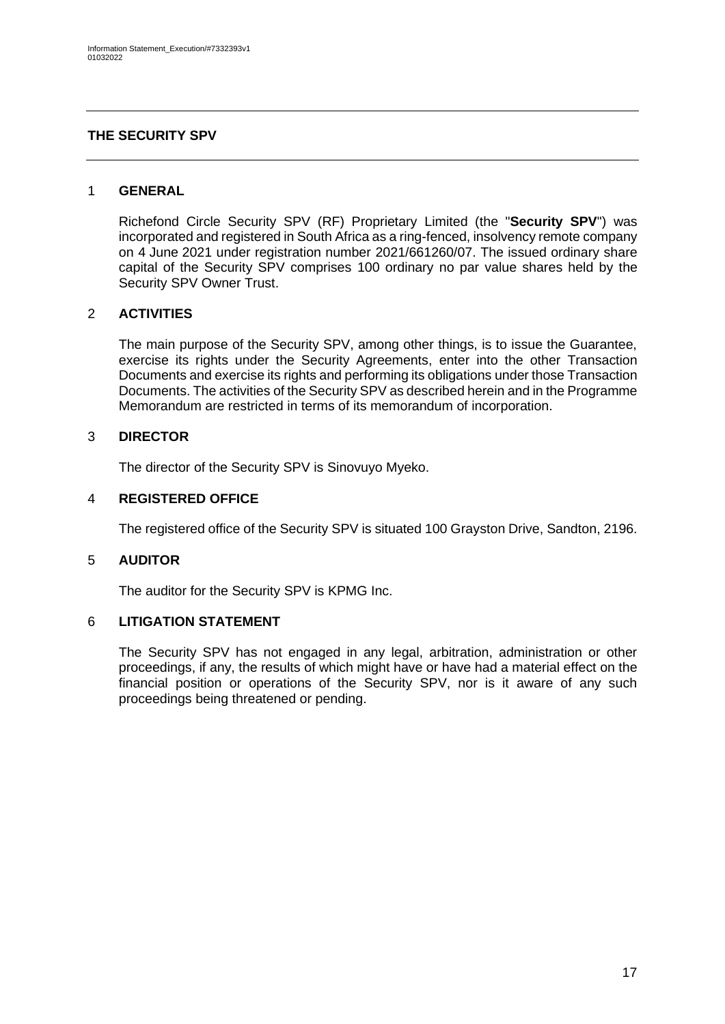### <span id="page-16-0"></span>**THE SECURITY SPV**

#### 1 **GENERAL**

Richefond Circle Security SPV (RF) Proprietary Limited (the "**Security SPV**") was incorporated and registered in South Africa as a ring-fenced, insolvency remote company on 4 June 2021 under registration number 2021/661260/07. The issued ordinary share capital of the Security SPV comprises 100 ordinary no par value shares held by the Security SPV Owner Trust.

#### 2 **ACTIVITIES**

The main purpose of the Security SPV, among other things, is to issue the Guarantee, exercise its rights under the Security Agreements, enter into the other Transaction Documents and exercise its rights and performing its obligations under those Transaction Documents. The activities of the Security SPV as described herein and in the Programme Memorandum are restricted in terms of its memorandum of incorporation.

#### 3 **DIRECTOR**

The director of the Security SPV is Sinovuyo Myeko.

### 4 **REGISTERED OFFICE**

The registered office of the Security SPV is situated 100 Grayston Drive, Sandton, 2196.

#### 5 **AUDITOR**

The auditor for the Security SPV is KPMG Inc.

#### 6 **LITIGATION STATEMENT**

The Security SPV has not engaged in any legal, arbitration, administration or other proceedings, if any, the results of which might have or have had a material effect on the financial position or operations of the Security SPV, nor is it aware of any such proceedings being threatened or pending.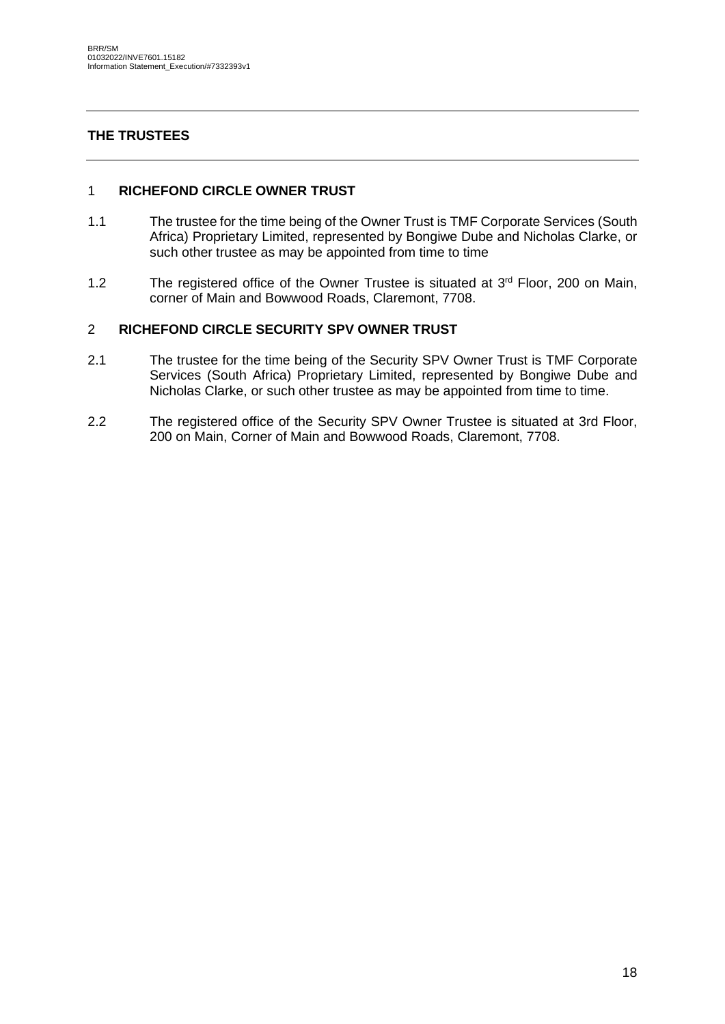# <span id="page-17-0"></span>**THE TRUSTEES**

#### 1 **RICHEFOND CIRCLE OWNER TRUST**

- 1.1 The trustee for the time being of the Owner Trust is TMF Corporate Services (South Africa) Proprietary Limited, represented by Bongiwe Dube and Nicholas Clarke, or such other trustee as may be appointed from time to time
- 1.2 The registered office of the Owner Trustee is situated at 3<sup>rd</sup> Floor, 200 on Main, corner of Main and Bowwood Roads, Claremont, 7708.

#### 2 **RICHEFOND CIRCLE SECURITY SPV OWNER TRUST**

- 2.1 The trustee for the time being of the Security SPV Owner Trust is TMF Corporate Services (South Africa) Proprietary Limited, represented by Bongiwe Dube and Nicholas Clarke, or such other trustee as may be appointed from time to time.
- 2.2 The registered office of the Security SPV Owner Trustee is situated at 3rd Floor, 200 on Main, Corner of Main and Bowwood Roads, Claremont, 7708.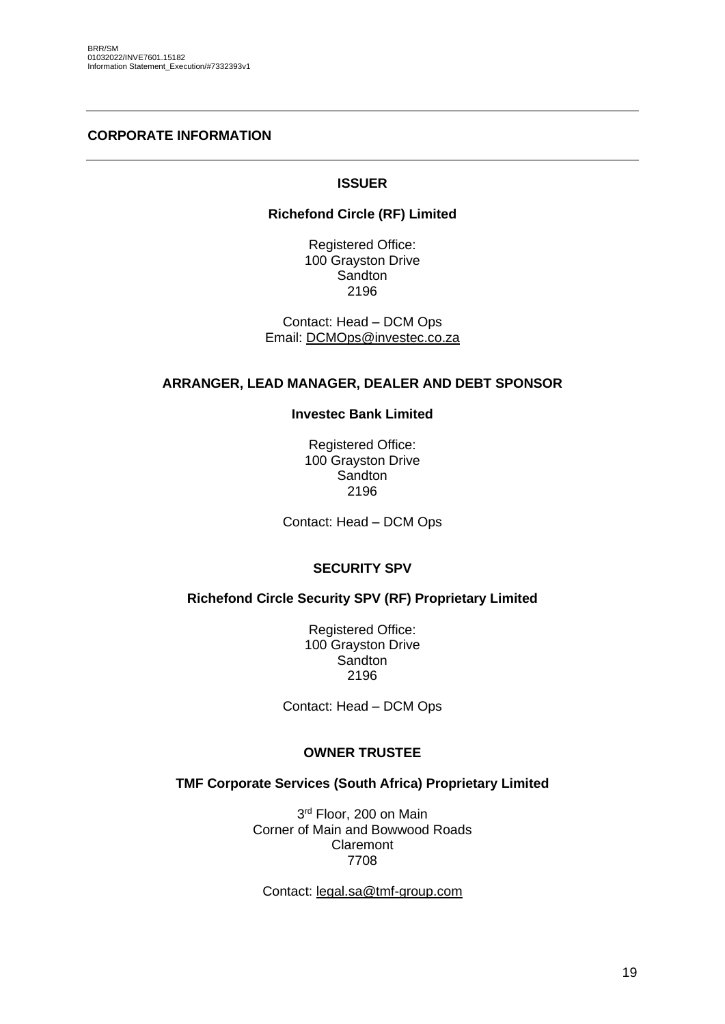#### <span id="page-18-0"></span>**CORPORATE INFORMATION**

### **ISSUER**

#### **Richefond Circle (RF) Limited**

Registered Office: 100 Grayston Drive **Sandton** 2196

Contact: Head – DCM Ops Email: [DCMOps@investec.co.za](mailto:DCMOps@investec.co.za)

#### **ARRANGER, LEAD MANAGER, DEALER AND DEBT SPONSOR**

#### **Investec Bank Limited**

Registered Office: 100 Grayston Drive **Sandton** 2196

Contact: Head – DCM Ops

#### **SECURITY SPV**

#### **Richefond Circle Security SPV (RF) Proprietary Limited**

Registered Office: 100 Grayston Drive Sandton 2196

Contact: Head – DCM Ops

#### **OWNER TRUSTEE**

#### **TMF Corporate Services (South Africa) Proprietary Limited**

3<sup>rd</sup> Floor, 200 on Main Corner of Main and Bowwood Roads Claremont 7708

Contact: [legal.sa@tmf-group.com](mailto:legal.sa@tmf-group.com)